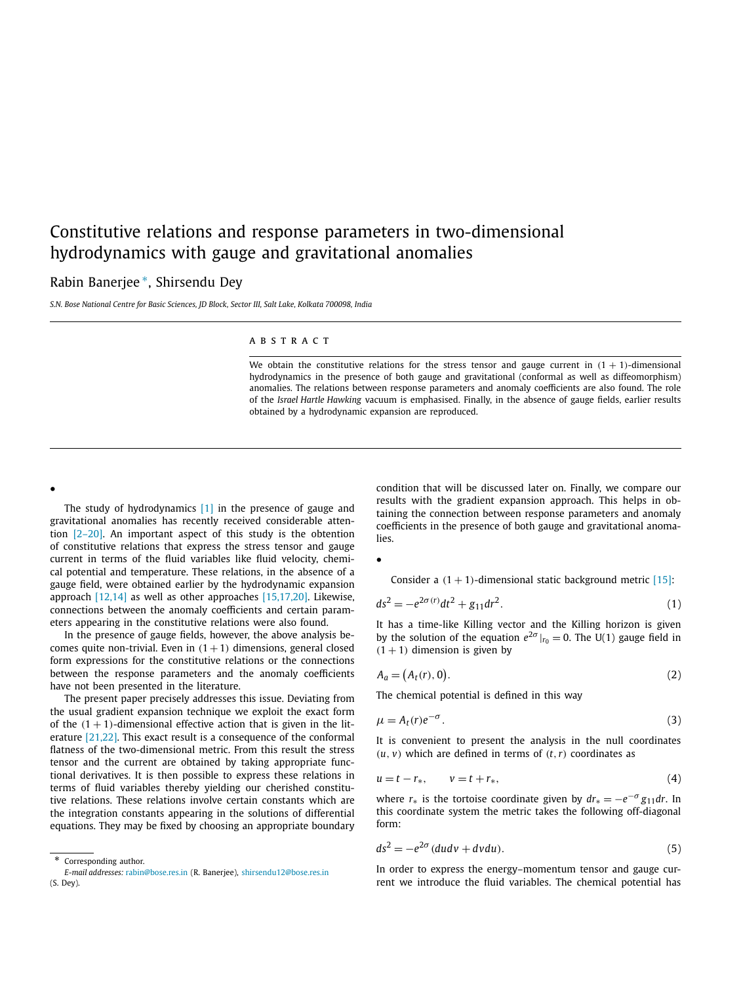# <span id="page-0-0"></span>Constitutive relations and response parameters in two-dimensional hydrodynamics with gauge and gravitational anomalies

## Rabin Banerjee ∗, Shirsendu Dey

*S.N. Bose National Centre for Basic Sciences, JD Block, Sector III, Salt Lake, Kolkata 700098, India*

#### ABSTRACT

We obtain the constitutive relations for the stress tensor and gauge current in  $(1 + 1)$ -dimensional hydrodynamics in the presence of both gauge and gravitational (conformal as well as diffeomorphism) anomalies. The relations between response parameters and anomaly coefficients are also found. The role of the *Israel Hartle Hawking* vacuum is emphasised. Finally, in the absence of gauge fields, earlier results obtained by a hydrodynamic expansion are reproduced.

•

The study of hydrodynamics [\[1\]](#page-2-0) in the presence of gauge and gravitational anomalies has recently received considerable attention [\[2–20\].](#page-2-0) An important aspect of this study is the obtention of constitutive relations that express the stress tensor and gauge current in terms of the fluid variables like fluid velocity, chemical potential and temperature. These relations, in the absence of a gauge field, were obtained earlier by the hydrodynamic expansion approach [\[12,14\]](#page-3-0) as well as other approaches [\[15,17,20\].](#page-3-0) Likewise, connections between the anomaly coefficients and certain parameters appearing in the constitutive relations were also found.

In the presence of gauge fields, however, the above analysis becomes quite non-trivial. Even in  $(1+1)$  dimensions, general closed form expressions for the constitutive relations or the connections between the response parameters and the anomaly coefficients have not been presented in the literature.

The present paper precisely addresses this issue. Deviating from the usual gradient expansion technique we exploit the exact form of the  $(1 + 1)$ -dimensional effective action that is given in the literature [\[21,22\].](#page-3-0) This exact result is a consequence of the conformal flatness of the two-dimensional metric. From this result the stress tensor and the current are obtained by taking appropriate functional derivatives. It is then possible to express these relations in terms of fluid variables thereby yielding our cherished constitutive relations. These relations involve certain constants which are the integration constants appearing in the solutions of differential equations. They may be fixed by choosing an appropriate boundary

Corresponding author.

condition that will be discussed later on. Finally, we compare our results with the gradient expansion approach. This helps in obtaining the connection between response parameters and anomaly coefficients in the presence of both gauge and gravitational anomalies.

•

Consider a  $(1 + 1)$ -dimensional static background metric  $[15]$ :

$$
ds^2 = -e^{2\sigma(r)}dt^2 + g_{11}dr^2.
$$
 (1)

It has a time-like Killing vector and the Killing horizon is given by the solution of the equation  $e^{2\sigma}|_{r_0} = 0$ . The U(1) gauge field in  $(1 + 1)$  dimension is given by

$$
A_a = (A_t(r), 0). \tag{2}
$$

The chemical potential is defined in this way

$$
\mu = A_t(r)e^{-\sigma}.
$$
\n(3)

It is convenient to present the analysis in the null coordinates  $(u, v)$  which are defined in terms of  $(t, r)$  coordinates as

$$
u = t - r_*, \qquad v = t + r_*, \tag{4}
$$

where  $r_*$  is the tortoise coordinate given by  $dr_* = -e^{-\sigma}g_{11}dr$ . In this coordinate system the metric takes the following off-diagonal form:

$$
ds^2 = -e^{2\sigma} (du dv + dv du). \tag{5}
$$

In order to express the energy–momentum tensor and gauge current we introduce the fluid variables. The chemical potential has

*E-mail addresses:* [rabin@bose.res.in](mailto:rabin@bose.res.in) (R. Banerjee), [shirsendu12@bose.res.in](mailto:shirsendu12@bose.res.in) (S. Dey).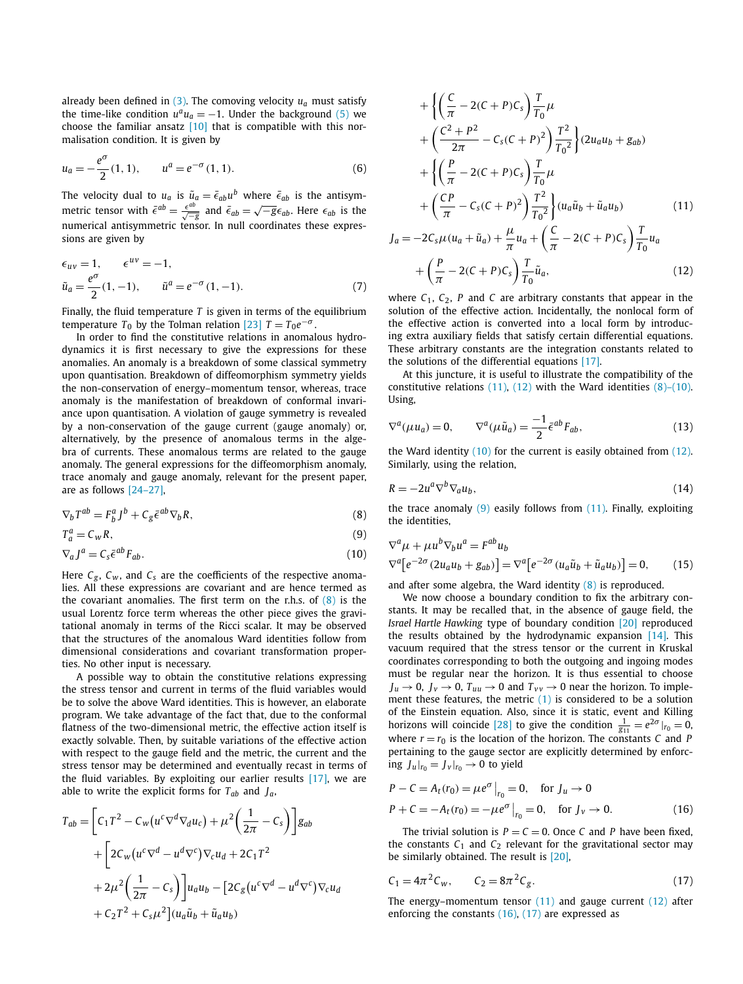already been defined in  $(3)$ . The comoving velocity  $u_a$  must satisfy the time-like condition  $u^a u_a = -1$ . Under the background [\(5\)](#page-0-0) we choose the familiar ansatz [\[10\]](#page-3-0) that is compatible with this normalisation condition. It is given by

$$
u_a = -\frac{e^{\sigma}}{2}(1, 1), \qquad u^a = e^{-\sigma}(1, 1). \tag{6}
$$

The velocity dual to  $u_a$  is  $\tilde{u}_a = \bar{\epsilon}_{ab} u^b$  where  $\bar{\epsilon}_{ab}$  is the antisymmetric tensor with  $\bar{\epsilon}^{ab} = \frac{\epsilon^{ab}}{\sqrt{-g}}$  and  $\bar{\epsilon}_{ab} = \sqrt{-g} \epsilon_{ab}$ . Here  $\epsilon_{ab}$  is the numerical antisymmetric tensor. In null coordinates these expressions are given by

$$
\epsilon_{uv} = 1, \qquad \epsilon^{uv} = -1, \n\tilde{u}_a = \frac{e^{\sigma}}{2}(1, -1), \qquad \tilde{u}^a = e^{-\sigma}(1, -1).
$$
\n(7)

Finally, the fluid temperature *T* is given in terms of the equilibrium temperature  $T_0$  by the Tolman relation [\[23\]](#page-3-0)  $T = T_0 e^{-\sigma}$ .

In order to find the constitutive relations in anomalous hydrodynamics it is first necessary to give the expressions for these anomalies. An anomaly is a breakdown of some classical symmetry upon quantisation. Breakdown of diffeomorphism symmetry yields the non-conservation of energy–momentum tensor, whereas, trace anomaly is the manifestation of breakdown of conformal invariance upon quantisation. A violation of gauge symmetry is revealed by a non-conservation of the gauge current (gauge anomaly) or, alternatively, by the presence of anomalous terms in the algebra of currents. These anomalous terms are related to the gauge anomaly. The general expressions for the diffeomorphism anomaly, trace anomaly and gauge anomaly, relevant for the present paper, are as follows [\[24–27\],](#page-3-0)

$$
\nabla_b T^{ab} = F_b^a J^b + C_g \bar{\epsilon}^{ab} \nabla_b R,\tag{8}
$$

$$
T_a^a = C_w R,\tag{9}
$$

$$
\nabla_a J^a = C_s \bar{\epsilon}^{ab} F_{ab}.
$$
\n(10)

Here  $C_g$ ,  $C_w$ , and  $C_s$  are the coefficients of the respective anomalies. All these expressions are covariant and are hence termed as the covariant anomalies. The first term on the r.h.s. of  $(8)$  is the usual Lorentz force term whereas the other piece gives the gravitational anomaly in terms of the Ricci scalar. It may be observed that the structures of the anomalous Ward identities follow from dimensional considerations and covariant transformation properties. No other input is necessary.

A possible way to obtain the constitutive relations expressing the stress tensor and current in terms of the fluid variables would be to solve the above Ward identities. This is however, an elaborate program. We take advantage of the fact that, due to the conformal flatness of the two-dimensional metric, the effective action itself is exactly solvable. Then, by suitable variations of the effective action with respect to the gauge field and the metric, the current and the stress tensor may be determined and eventually recast in terms of the fluid variables. By exploiting our earlier results [\[17\],](#page-3-0) we are able to write the explicit forms for *Tab* and *Ja*,

$$
T_{ab} = \left[C_1T^2 - C_W(u^c\nabla^d\nabla_d u_c) + \mu^2\left(\frac{1}{2\pi} - C_s\right)\right]g_{ab}
$$
  
+ 
$$
\left[2C_W(u^c\nabla^d - u^d\nabla^c)\nabla_c u_d + 2C_1T^2
$$
  
+ 
$$
2\mu^2\left(\frac{1}{2\pi} - C_s\right)\right]u_a u_b - \left[2C_g(u^c\nabla^d - u^d\nabla^c)\nabla_c u_d
$$
  
+ 
$$
C_2T^2 + C_s\mu^2\right](u_a\tilde{u}_b + \tilde{u}_a u_b)
$$

$$
+\left\{\left(\frac{C}{\pi}-2(C+P)C_{s}\right)\frac{T}{T_{0}}\mu\right.+\left(\frac{C^{2}+P^{2}}{2\pi}-C_{s}(C+P)^{2}\right)\frac{T^{2}}{T_{0}^{2}}\right\}(2u_{a}u_{b}+g_{ab})+\left\{\left(\frac{P}{\pi}-2(C+P)C_{s}\right)\frac{T}{T_{0}}\mu\right.+\left(\frac{CP}{\pi}-C_{s}(C+P)^{2}\right)\frac{T^{2}}{T_{0}^{2}}\left\}(u_{a}\tilde{u}_{b}+\tilde{u}_{a}u_{b})\right.
$$
(11)  

$$
J_{a}=-2C_{s}\mu(u_{a}+\tilde{u}_{a})+\frac{\mu}{\pi}u_{a}+\left(\frac{C}{\pi}-2(C+P)C_{s}\right)\frac{T}{T_{0}}u_{a}+\left(\frac{P}{\pi}-2(C+P)C_{s}\right)\frac{T}{T_{0}}\tilde{u}_{a},
$$
(12)

where  $C_1$ ,  $C_2$ ,  $P$  and  $C$  are arbitrary constants that appear in the solution of the effective action. Incidentally, the nonlocal form of the effective action is converted into a local form by introducing extra auxiliary fields that satisfy certain differential equations. These arbitrary constants are the integration constants related to the solutions of the differential equations [\[17\].](#page-3-0)

At this juncture, it is useful to illustrate the compatibility of the constitutive relations  $(11)$ ,  $(12)$  with the Ward identities  $(8)-(10)$ . Using,

$$
\nabla^{a}(\mu u_{a}) = 0, \qquad \nabla^{a}(\mu \tilde{u}_{a}) = \frac{-1}{2} \bar{\epsilon}^{ab} F_{ab}, \qquad (13)
$$

the Ward identity (10) for the current is easily obtained from (12). Similarly, using the relation,

$$
R = -2u^a \nabla^b \nabla_a u_b,\tag{14}
$$

the trace anomaly  $(9)$  easily follows from  $(11)$ . Finally, exploiting the identities,

$$
\nabla^a \mu + \mu u^b \nabla_b u^a = F^{ab} u_b
$$
  

$$
\nabla^a [e^{-2\sigma} (2u_a u_b + g_{ab})] = \nabla^a [e^{-2\sigma} (u_a \tilde{u}_b + \tilde{u}_a u_b)] = 0,
$$
 (15)

and after some algebra, the Ward identity (8) is reproduced.

We now choose a boundary condition to fix the arbitrary constants. It may be recalled that, in the absence of gauge field, the *Israel Hartle Hawking* type of boundary condition [\[20\]](#page-3-0) reproduced the results obtained by the hydrodynamic expansion  $[14]$ . This vacuum required that the stress tensor or the current in Kruskal coordinates corresponding to both the outgoing and ingoing modes must be regular near the horizon. It is thus essential to choose  $J_u \rightarrow 0$ ,  $J_v \rightarrow 0$ ,  $T_{uu} \rightarrow 0$  and  $T_{vv} \rightarrow 0$  near the horizon. To implement these features, the metric [\(1\)](#page-0-0) is considered to be a solution of the Einstein equation. Also, since it is static, event and Killing horizons will coincide [\[28\]](#page-3-0) to give the condition  $\frac{1}{g_{11}} = e^{2\sigma}|_{r_0} = 0$ , where  $r = r_0$  is the location of the horizon. The constants *C* and *P* pertaining to the gauge sector are explicitly determined by enforcing  $J_u|_{r_0} = J_v|_{r_0} \rightarrow 0$  to yield

$$
P - C = A_t(r_0) = \mu e^{\sigma} \Big|_{r_0} = 0, \text{ for } J_u \to 0
$$
  
 
$$
P + C = -A_t(r_0) = -\mu e^{\sigma} \Big|_{r_0} = 0, \text{ for } J_v \to 0.
$$
 (16)

The trivial solution is  $P = C = 0$ . Once *C* and *P* have been fixed, the constants  $C_1$  and  $C_2$  relevant for the gravitational sector may be similarly obtained. The result is [\[20\],](#page-3-0)

$$
C_1 = 4\pi^2 C_w, \qquad C_2 = 8\pi^2 C_g. \tag{17}
$$

The energy–momentum tensor  $(11)$  and gauge current  $(12)$  after enforcing the constants  $(16)$ ,  $(17)$  are expressed as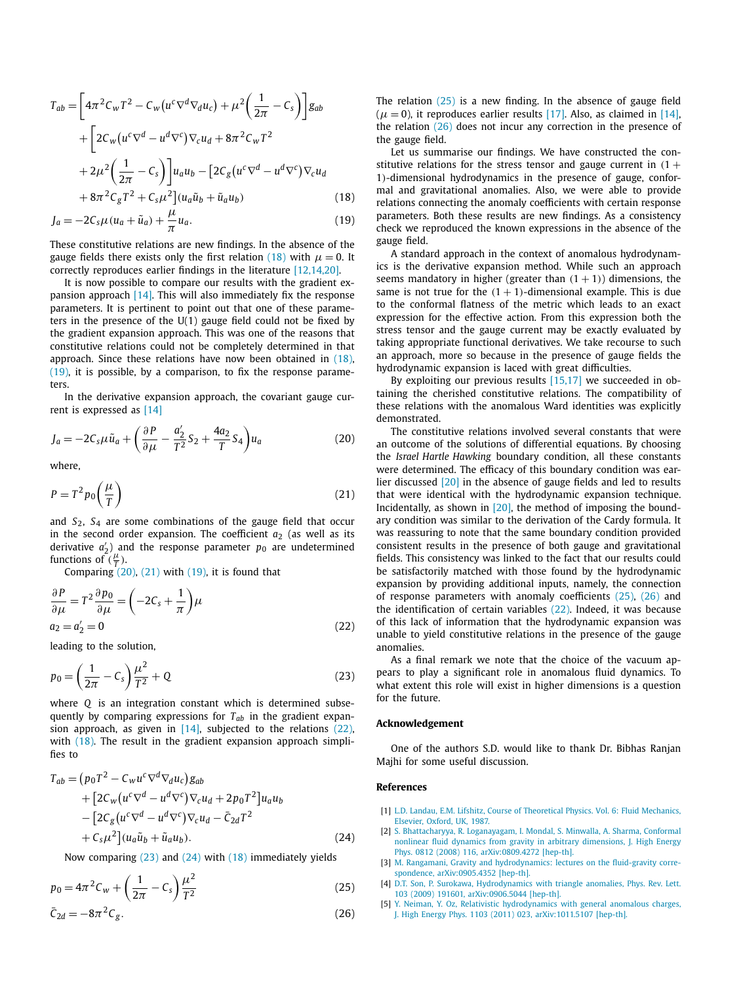<span id="page-2-0"></span>
$$
T_{ab} = \left[4\pi^2 C_W T^2 - C_W (u^c \nabla^d \nabla_d u_c) + \mu^2 \left(\frac{1}{2\pi} - C_s\right)\right] g_{ab}
$$
  
+ 
$$
\left[2C_W (u^c \nabla^d - u^d \nabla^c) \nabla_c u_d + 8\pi^2 C_W T^2 + 2\mu^2 \left(\frac{1}{2\pi} - C_s\right)\right] u_a u_b - \left[2C_g (u^c \nabla^d - u^d \nabla^c) \nabla_c u_d + 8\pi^2 C_g T^2 + C_s \mu^2\right] (u_a \tilde{u}_b + \tilde{u}_a u_b)
$$
(18)

$$
J_a = -2C_s\mu(u_a + \tilde{u}_a) + \frac{\mu}{\pi}u_a.
$$
\n(19)

These constitutive relations are new findings. In the absence of the gauge fields there exists only the first relation (18) with  $\mu = 0$ . It correctly reproduces earlier findings in the literature [\[12,14,20\].](#page-3-0)

It is now possible to compare our results with the gradient expansion approach [\[14\].](#page-3-0) This will also immediately fix the response parameters. It is pertinent to point out that one of these parameters in the presence of the  $U(1)$  gauge field could not be fixed by the gradient expansion approach. This was one of the reasons that constitutive relations could not be completely determined in that approach. Since these relations have now been obtained in (18), (19), it is possible, by a comparison, to fix the response parameters.

In the derivative expansion approach, the covariant gauge current is expressed as [\[14\]](#page-3-0)

$$
J_a = -2C_s\mu\tilde{u}_a + \left(\frac{\partial P}{\partial \mu} - \frac{a_2'}{T^2}S_2 + \frac{4a_2}{T}S_4\right)u_a
$$
 (20)

where,

$$
P = T^2 p_0 \left(\frac{\mu}{T}\right) \tag{21}
$$

and *S*2, *S*<sup>4</sup> are some combinations of the gauge field that occur in the second order expansion. The coefficient  $a_2$  (as well as its derivative *a* <sup>2</sup>) and the response parameter *p*<sup>0</sup> are undetermined functions of  $\frac{2}{T}$ .

Comparing  $(20)$ ,  $(21)$  with  $(19)$ , it is found that

$$
\frac{\partial P}{\partial \mu} = T^2 \frac{\partial p_0}{\partial \mu} = \left( -2C_s + \frac{1}{\pi} \right) \mu
$$
  
\n
$$
a_2 = a'_2 = 0
$$
\n(22)

leading to the solution,

$$
p_0 = \left(\frac{1}{2\pi} - C_s\right)\frac{\mu^2}{T^2} + Q\tag{23}
$$

where *Q* is an integration constant which is determined subsequently by comparing expressions for  $T_{ab}$  in the gradient expansion approach, as given in  $[14]$ , subjected to the relations  $(22)$ , with (18). The result in the gradient expansion approach simplifies to

$$
T_{ab} = (p_0 T^2 - C_w u^c \nabla^d \nabla_d u_c) g_{ab}
$$
  
+ 
$$
[2C_w (u^c \nabla^d - u^d \nabla^c) \nabla_c u_d + 2p_0 T^2] u_a u_b
$$

$$
- [2C_g (u^c \nabla^d - u^d \nabla^c) \nabla_c u_d - \bar{C}_{2d} T^2
$$

$$
+ C_s \mu^2] (u_a \tilde{u}_b + \tilde{u}_a u_b).
$$
 (24)

Now comparing (23) and (24) with (18) immediately yields

$$
p_0 = 4\pi^2 C_w + \left(\frac{1}{2\pi} - C_s\right) \frac{\mu^2}{T^2}
$$
\n
$$
\bar{C}_{2d} = -8\pi^2 C_g.
$$
\n(26)

The relation (25) is a new finding. In the absence of gauge field  $(\mu = 0)$ , it reproduces earlier results [\[17\].](#page-3-0) Also, as claimed in [\[14\],](#page-3-0) the relation (26) does not incur any correction in the presence of the gauge field.

Let us summarise our findings. We have constructed the constitutive relations for the stress tensor and gauge current in  $(1 +$ 1*)*-dimensional hydrodynamics in the presence of gauge, conformal and gravitational anomalies. Also, we were able to provide relations connecting the anomaly coefficients with certain response parameters. Both these results are new findings. As a consistency check we reproduced the known expressions in the absence of the gauge field.

A standard approach in the context of anomalous hydrodynamics is the derivative expansion method. While such an approach seems mandatory in higher (greater than  $(1 + 1)$ ) dimensions, the same is not true for the  $(1 + 1)$ -dimensional example. This is due to the conformal flatness of the metric which leads to an exact expression for the effective action. From this expression both the stress tensor and the gauge current may be exactly evaluated by taking appropriate functional derivatives. We take recourse to such an approach, more so because in the presence of gauge fields the hydrodynamic expansion is laced with great difficulties.

By exploiting our previous results [\[15,17\]](#page-3-0) we succeeded in obtaining the cherished constitutive relations. The compatibility of these relations with the anomalous Ward identities was explicitly demonstrated.

The constitutive relations involved several constants that were an outcome of the solutions of differential equations. By choosing the *Israel Hartle Hawking* boundary condition, all these constants were determined. The efficacy of this boundary condition was earlier discussed [\[20\]](#page-3-0) in the absence of gauge fields and led to results that were identical with the hydrodynamic expansion technique. Incidentally, as shown in  $[20]$ , the method of imposing the boundary condition was similar to the derivation of the Cardy formula. It was reassuring to note that the same boundary condition provided consistent results in the presence of both gauge and gravitational fields. This consistency was linked to the fact that our results could be satisfactorily matched with those found by the hydrodynamic expansion by providing additional inputs, namely, the connection of response parameters with anomaly coefficients  $(25)$ ,  $(26)$  and the identification of certain variables (22). Indeed, it was because of this lack of information that the hydrodynamic expansion was unable to yield constitutive relations in the presence of the gauge anomalies.

As a final remark we note that the choice of the vacuum appears to play a significant role in anomalous fluid dynamics. To what extent this role will exist in higher dimensions is a question for the future.

#### **Acknowledgement**

One of the authors S.D. would like to thank Dr. Bibhas Ranjan Majhi for some useful discussion.

### **References**

- [1] [L.D. Landau, E.M. Lifshitz, Course of Theoretical Physics. Vol. 6: Fluid Mechanics,](http://refhub.elsevier.com/S0370-2693(14)00280-9/bib4C616E646175s1) [Elsevier, Oxford, UK, 1987.](http://refhub.elsevier.com/S0370-2693(14)00280-9/bib4C616E646175s1)
- [2] S. [Bhattacharyya, R. Loganayagam, I. Mondal, S. Minwalla, A. Sharma, Conformal](http://refhub.elsevier.com/S0370-2693(14)00280-9/bib426861747461636861727979613A323031327869s1) [nonlinear fluid dynamics from gravity in arbitrary dimensions, J. High Energy](http://refhub.elsevier.com/S0370-2693(14)00280-9/bib426861747461636861727979613A323031327869s1) [Phys. 0812 \(2008\) 116, arXiv:0809.4272 \[hep-th\].](http://refhub.elsevier.com/S0370-2693(14)00280-9/bib426861747461636861727979613A323031327869s1)
- [3] M. [Rangamani, Gravity and hydrodynamics: lectures on the fluid-gravity corre](http://refhub.elsevier.com/S0370-2693(14)00280-9/bib52616E67616D616E693A32303039s1)[spondence, arXiv:0905.4352 \[hep-th\].](http://refhub.elsevier.com/S0370-2693(14)00280-9/bib52616E67616D616E693A32303039s1)
- [4] [D.T. Son, P. Surokawa, Hydrodynamics with triangle anomalies, Phys. Rev. Lett.](http://refhub.elsevier.com/S0370-2693(14)00280-9/bib536F6E7375726F3A32303039s1) [103 \(2009\) 191601, arXiv:0906.5044 \[hep-th\].](http://refhub.elsevier.com/S0370-2693(14)00280-9/bib536F6E7375726F3A32303039s1)
- [5] [Y. Neiman, Y. Oz, Relativistic hydrodynamics with general anomalous charges,](http://refhub.elsevier.com/S0370-2693(14)00280-9/bib4E65696D616E3A323031317As1) [J. High Energy Phys. 1103 \(2011\) 023, arXiv:1011.5107 \[hep-th\].](http://refhub.elsevier.com/S0370-2693(14)00280-9/bib4E65696D616E3A323031317As1)